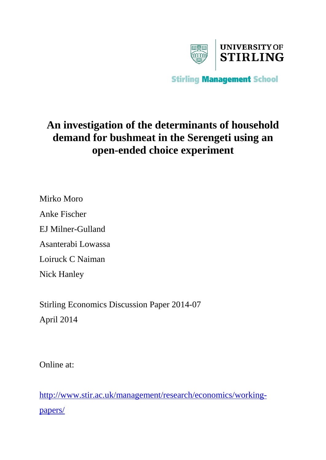

**Stirling Management School** 

# **An investigation of the determinants of household demand for bushmeat in the Serengeti using an open-ended choice experiment**

Mirko Moro Anke Fischer EJ Milner-Gulland Asanterabi Lowassa Loiruck C Naiman Nick Hanley

Stirling Economics Discussion Paper 2014-07 April 2014

Online at:

[http://www.stir.ac.uk/management/research/economics/working](http://www.stir.ac.uk/management/research/economics/working-papers/)[papers/](http://www.stir.ac.uk/management/research/economics/working-papers/)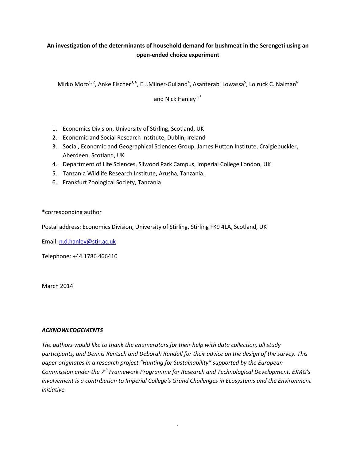## **An investigation of the determinants of household demand for bushmeat in the Serengeti using an open-ended choice experiment**

Mirko Moro $^{1, 2}$ , Anke Fischer $^{3, 6}$ , E.J.Milner-Gulland<sup>4</sup>, Asanterabi Lowassa<sup>5</sup>, Loiruck C. Naiman $^6$ 

and Nick Hanley $1, *$ 

- 1. Economics Division, University of Stirling, Scotland, UK
- 2. Economic and Social Research Institute, Dublin, Ireland
- 3. Social, Economic and Geographical Sciences Group, James Hutton Institute, Craigiebuckler, Aberdeen, Scotland, UK
- 4. Department of Life Sciences, Silwood Park Campus, Imperial College London, UK
- 5. Tanzania Wildlife Research Institute, Arusha, Tanzania.
- 6. Frankfurt Zoological Society, Tanzania

## \*corresponding author

Postal address: Economics Division, University of Stirling, Stirling FK9 4LA, Scotland, UK

Email: [n.d.hanley@stir.ac.uk](mailto:n.d.hanley@stir.ac.uk)

Telephone: +44 1786 466410

March 2014

### *ACKNOWLEDGEMENTS*

<span id="page-1-0"></span>*The authors would like to thank the enumerators for their help with data collection, all study participants, and Dennis Rentsch and Deborah Randall for their advice on the design of the survey. This paper originates in a research project "Hunting for Sustainability" supported by the European Commission under the 7th Framework Programme for Research and Technological Development. EJMG's involvement is a contribution to Imperial College's Grand Challenges in Ecosystems and the Environment initiative.*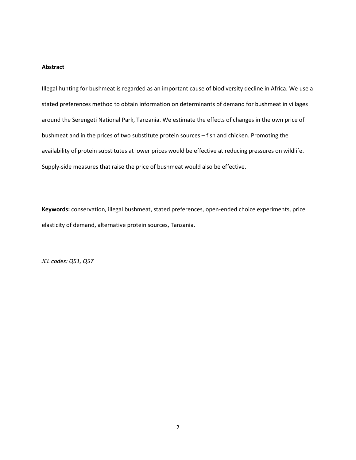## **Abstract**

Illegal hunting for bushmeat is regarded as an important cause of biodiversity decline in Africa. We use a stated preferences method to obtain information on determinants of demand for bushmeat in villages around the Serengeti National Park, Tanzania. We estimate the effects of changes in the own price of bushmeat and in the prices of two substitute protein sources – fish and chicken. Promoting the availability of protein substitutes at lower prices would be effective at reducing pressures on wildlife. Supply-side measures that raise the price of bushmeat would also be effective.

**Keywords:** conservation, illegal bushmeat, stated preferences, open-ended choice experiments, price elasticity of demand, alternative protein sources, Tanzania.

*JEL codes: Q51, Q57*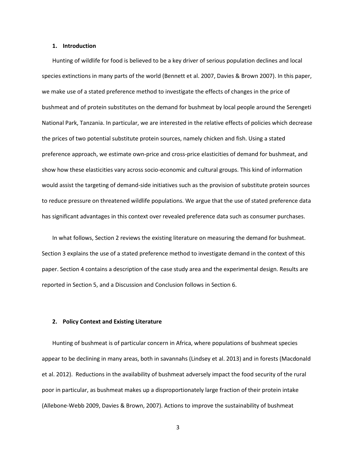#### **1. Introduction**

Hunting of wildlife for food is believed to be a key driver of serious population declines and local species extinctions in many parts of the world (Bennett et al. 2007, Davies & Brown 2007). In this paper, we make use of a stated preference method to investigate the effects of changes in the price of bushmeat and of protein substitutes on the demand for bushmeat by local people around the Serengeti National Park, Tanzania. In particular, we are interested in the relative effects of policies which decrease the prices of two potential substitute protein sources, namely chicken and fish. Using a stated preference approach, we estimate own-price and cross-price elasticities of demand for bushmeat, and show how these elasticities vary across socio-economic and cultural groups. This kind of information would assist the targeting of demand-side initiatives such as the provision of substitute protein sources to reduce pressure on threatened wildlife populations. We argue that the use of stated preference data has significant advantages in this context over revealed preference data such as consumer purchases.

In what follows, Section 2 reviews the existing literature on measuring the demand for bushmeat. Section 3 explains the use of a stated preference method to investigate demand in the context of this paper. Section 4 contains a description of the case study area and the experimental design. Results are reported in Section 5, and a Discussion and Conclusion follows in Section 6.

#### **2. Policy Context and Existing Literature**

Hunting of bushmeat is of particular concern in Africa, where populations of bushmeat species appear to be declining in many areas, both in savannahs (Lindsey et al. 2013) and in forests (Macdonald et al. 2012). Reductions in the availability of bushmeat adversely impact the food security of the rural poor in particular, as bushmeat makes up a disproportionately large fraction of their protein intake (Allebone-Webb 2009, Davies & Brown, 2007). Actions to improve the sustainability of bushmeat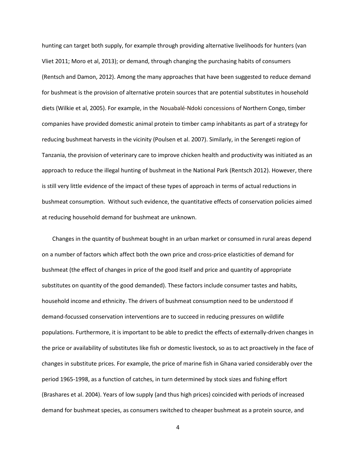hunting can target both supply, for example through providing alternative livelihoods for hunters (van Vliet 2011; Moro et al, 2013); or demand, through changing the purchasing habits of consumers (Rentsch and Damon, 2012). Among the many approaches that have been suggested to reduce demand for bushmeat is the provision of alternative protein sources that are potential substitutes in household diets (Wilkie et al, 2005). For example, in the Nouabalé-Ndoki concessions of Northern Congo, timber companies have provided domestic animal protein to timber camp inhabitants as part of a strategy for reducing bushmeat harvests in the vicinity (Poulsen et al. 2007). Similarly, in the Serengeti region of Tanzania, the provision of veterinary care to improve chicken health and productivity was initiated as an approach to reduce the illegal hunting of bushmeat in the National Park (Rentsch 2012). However, there is still very little evidence of the impact of these types of approach in terms of actual reductions in bushmeat consumption. Without such evidence, the quantitative effects of conservation policies aimed at reducing household demand for bushmeat are unknown.

Changes in the quantity of bushmeat bought in an urban market or consumed in rural areas depend on a number of factors which affect both the own price and cross-price elasticities of demand for bushmeat (the effect of changes in price of the good itself and price and quantity of appropriate substitutes on quantity of the good demanded). These factors include consumer tastes and habits, household income and ethnicity. The drivers of bushmeat consumption need to be understood if demand-focussed conservation interventions are to succeed in reducing pressures on wildlife populations. Furthermore, it is important to be able to predict the effects of externally-driven changes in the price or availability of substitutes like fish or domestic livestock, so as to act proactively in the face of changes in substitute prices. For example, the price of marine fish in Ghana varied considerably over the period 1965-1998, as a function of catches, in turn determined by stock sizes and fishing effort (Brashares et al. 2004). Years of low supply (and thus high prices) coincided with periods of increased demand for bushmeat species, as consumers switched to cheaper bushmeat as a protein source, and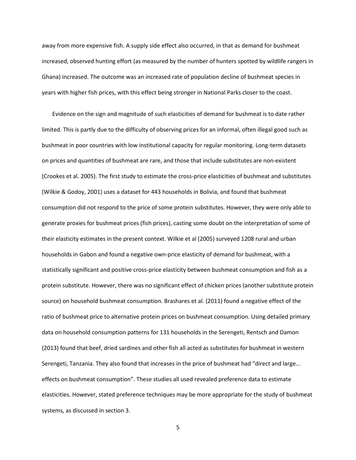away from more expensive fish. A supply side effect also occurred, in that as demand for bushmeat increased, observed hunting effort (as measured by the number of hunters spotted by wildlife rangers in Ghana) increased. The outcome was an increased rate of population decline of bushmeat species in years with higher fish prices, with this effect being stronger in National Parks closer to the coast.

Evidence on the sign and magnitude of such elasticities of demand for bushmeat is to date rather limited. This is partly due to the difficulty of observing prices for an informal, often illegal good such as bushmeat in poor countries with low institutional capacity for regular monitoring. Long-term datasets on prices and quantities of bushmeat are rare, and those that include substitutes are non-existent (Crookes et al. 2005). The first study to estimate the cross-price elasticities of bushmeat and substitutes (Wilkie & Godoy, 2001) uses a dataset for 443 households in Bolivia, and found that bushmeat consumption did not respond to the price of some protein substitutes. However, they were only able to generate proxies for bushmeat prices (fish prices), casting some doubt on the interpretation of some of their elasticity estimates in the present context. Wilkie et al (2005) surveyed 1208 rural and urban households in Gabon and found a negative own-price elasticity of demand for bushmeat, with a statistically significant and positive cross-price elasticity between bushmeat consumption and fish as a protein substitute. However, there was no significant effect of chicken prices (another substitute protein source) on household bushmeat consumption. Brashares et al. (2011) found a negative effect of the ratio of bushmeat price to alternative protein prices on bushmeat consumption. Using detailed primary data on household consumption patterns for 131 households in the Serengeti, Rentsch and Damon (2013) found that beef, dried sardines and other fish all acted as substitutes for bushmeat in western Serengeti, Tanzania. They also found that increases in the price of bushmeat had "direct and large... effects on bushmeat consumption". These studies all used revealed preference data to estimate elasticities. However, stated preference techniques may be more appropriate for the study of bushmeat systems, as discussed in section 3.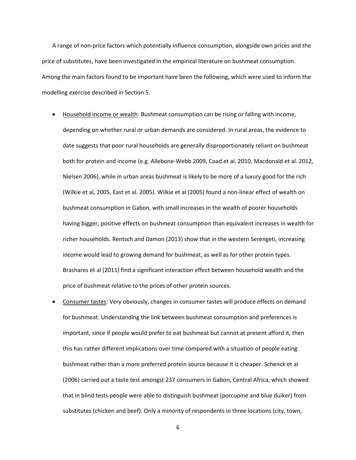A range of non-price factors which potentially influence consumption, alongside own prices and the price of substitutes, have been investigated in the empirical literature on bushmeat consumption. Among the main factors found to be important have been the following, which were used to inform the modelling exercise described in Section 5.

- Household income or wealth: Bushmeat consumption can be rising or falling with income, depending on whether rural or urban demands are considered. In rural areas, the evidence to date suggests that poor rural households are generally disproportionately reliant on bushmeat both for protein and income (e.g. Allebone-Webb 2009, Coad et al. 2010, Macdonald et al. 2012, Nielsen 2006), while in urban areas bushmeat is likely to be more of a luxury good for the rich (Wilkie et al, 2005, East et al. 2005). Wilkie et al (2005) found a non-linear effect of wealth on bushmeat consumption in Gabon, with small increases in the wealth of poorer households having bigger, positive effects on bushmeat consumption than equivalent increases in wealth for richer households. Rentsch and Damon (2013) show that in the western Serengeti, increasing income would lead to growing demand for bushmeat, as well as for other protein types. Brashares et al (2011) find a significant interaction effect between household wealth and the price of bushmeat relative to the prices of other protein sources.
- Consumer tastes: Very obviously, changes in consumer tastes will produce effects on demand for bushmeat. Understanding the link between bushmeat consumption and preferences is important, since if people would prefer to eat bushmeat but cannot at present afford it, then this has rather different implications over time compared with a situation of people eating bushmeat rather than a more preferred protein source because it is cheaper. Schenck et al (2006) carried out a taste test amongst 237 consumers in Gabon, Central Africa, which showed that in blind tests people were able to distinguish bushmeat (porcupine and blue duiker) from substitutes (chicken and beef). Only a minority of respondents in three locations (city, town,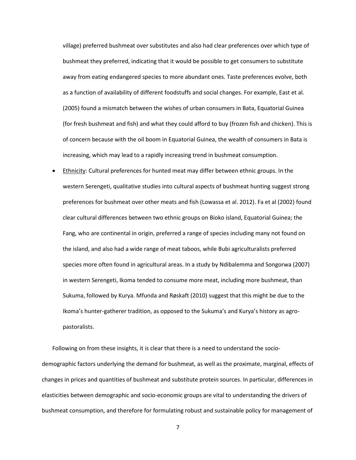village) preferred bushmeat over substitutes and also had clear preferences over which type of bushmeat they preferred, indicating that it would be possible to get consumers to substitute away from eating endangered species to more abundant ones. Taste preferences evolve, both as a function of availability of different foodstuffs and social changes. For example, East et al. (2005) found a mismatch between the wishes of urban consumers in Bata, Equatorial Guinea (for fresh bushmeat and fish) and what they could afford to buy (frozen fish and chicken). This is of concern because with the oil boom in Equatorial Guinea, the wealth of consumers in Bata is increasing, which may lead to a rapidly increasing trend in bushmeat consumption.

• Ethnicity: Cultural preferences for hunted meat may differ between ethnic groups. In the western Serengeti, qualitative studies into cultural aspects of bushmeat hunting suggest strong preferences for bushmeat over other meats and fish (Lowassa et al. 2012). Fa et al (2002) found clear cultural differences between two ethnic groups on Bioko island, Equatorial Guinea; the Fang, who are continental in origin, preferred a range of species including many not found on the island, and also had a wide range of meat taboos, while Bubi agriculturalists preferred species more often found in agricultural areas. In a study by Ndibalemma and Songorwa (2007) in western Serengeti, Ikoma tended to consume more meat, including more bushmeat, than Sukuma, followed by Kurya. Mfunda and Røskaft (2010) suggest that this might be due to the Ikoma's hunter-gatherer tradition, as opposed to the Sukuma's and Kurya's history as agropastoralists.

Following on from these insights, it is clear that there is a need to understand the sociodemographic factors underlying the demand for bushmeat, as well as the proximate, marginal, effects of changes in prices and quantities of bushmeat and substitute protein sources. In particular, differences in elasticities between demographic and socio-economic groups are vital to understanding the drivers of bushmeat consumption, and therefore for formulating robust and sustainable policy for management of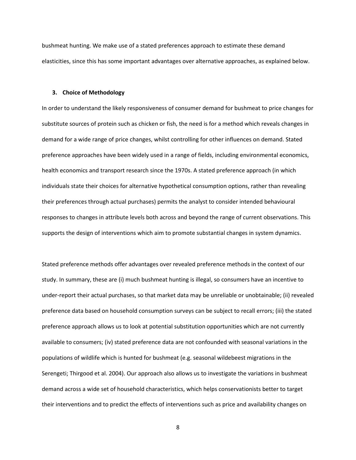bushmeat hunting. We make use of a stated preferences approach to estimate these demand elasticities, since this has some important advantages over alternative approaches, as explained below.

#### **3. Choice of Methodology**

In order to understand the likely responsiveness of consumer demand for bushmeat to price changes for substitute sources of protein such as chicken or fish, the need is for a method which reveals changes in demand for a wide range of price changes, whilst controlling for other influences on demand. Stated preference approaches have been widely used in a range of fields, including environmental economics, health economics and transport research since the 1970s. A stated preference approach (in which individuals state their choices for alternative hypothetical consumption options, rather than revealing their preferences through actual purchases) permits the analyst to consider intended behavioural responses to changes in attribute levels both across and beyond the range of current observations. This supports the design of interventions which aim to promote substantial changes in system dynamics.

Stated preference methods offer advantages over revealed preference methods in the context of our study. In summary, these are (i) much bushmeat hunting is illegal, so consumers have an incentive to under-report their actual purchases, so that market data may be unreliable or unobtainable; (ii) revealed preference data based on household consumption surveys can be subject to recall errors; (iii) the stated preference approach allows us to look at potential substitution opportunities which are not currently available to consumers; (iv) stated preference data are not confounded with seasonal variations in the populations of wildlife which is hunted for bushmeat (e.g. seasonal wildebeest migrations in the Serengeti; Thirgood et al. 2004). Our approach also allows us to investigate the variations in bushmeat demand across a wide set of household characteristics, which helps conservationists better to target their interventions and to predict the effects of interventions such as price and availability changes on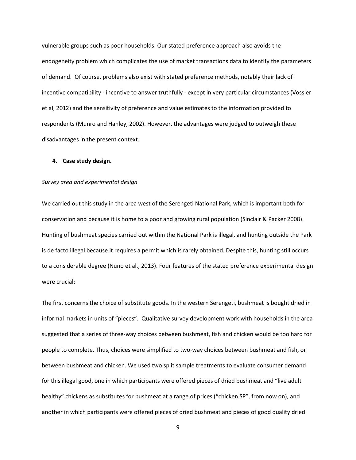vulnerable groups such as poor households. Our stated preference approach also avoids the endogeneity problem which complicates the use of market transactions data to identify the parameters of demand. Of course, problems also exist with stated preference methods, notably their lack of incentive compatibility - incentive to answer truthfully - except in very particular circumstances (Vossler et al, 2012) and the sensitivity of preference and value estimates to the information provided to respondents (Munro and Hanley, 2002). However, the advantages were judged to outweigh these disadvantages in the present context.

#### **4. Case study design.**

#### *Survey area and experimental design*

We carried out this study in the area west of the Serengeti National Park, which is important both for conservation and because it is home to a poor and growing rural population (Sinclair & Packer 2008). Hunting of bushmeat species carried out within the National Park is illegal, and hunting outside the Park is de facto illegal because it requires a permit which is rarely obtained. Despite this, hunting still occurs to a considerable degree (Nuno et al., 2013). Four features of the stated preference experimental design were crucial:

The first concerns the choice of substitute goods. In the western Serengeti, bushmeat is bought dried in informal markets in units of "pieces". Qualitative survey development work with households in the area suggested that a series of three-way choices between bushmeat, fish and chicken would be too hard for people to complete. Thus, choices were simplified to two-way choices between bushmeat and fish, or between bushmeat and chicken. We used two split sample treatments to evaluate consumer demand for this illegal good, one in which participants were offered pieces of dried bushmeat and "live adult healthy" chickens as substitutes for bushmeat at a range of prices ("chicken SP", from now on), and another in which participants were offered pieces of dried bushmeat and pieces of good quality dried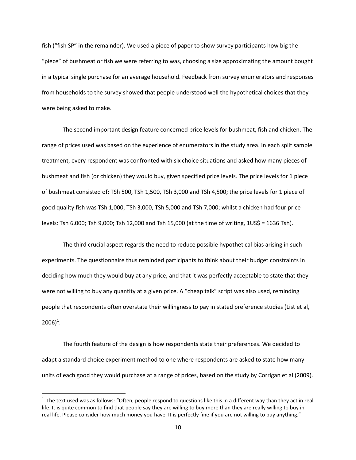fish ("fish SP" in the remainder). We used a piece of paper to show survey participants how big the "piece" of bushmeat or fish we were referring to was, choosing a size approximating the amount bought in a typical single purchase for an average household. Feedback from survey enumerators and responses from households to the survey showed that people understood well the hypothetical choices that they were being asked to make.

The second important design feature concerned price levels for bushmeat, fish and chicken. The range of prices used was based on the experience of enumerators in the study area. In each split sample treatment, every respondent was confronted with six choice situations and asked how many pieces of bushmeat and fish (or chicken) they would buy, given specified price levels. The price levels for 1 piece of bushmeat consisted of: TSh 500, TSh 1,500, TSh 3,000 and TSh 4,500; the price levels for 1 piece of good quality fish was TSh 1,000, TSh 3,000, TSh 5,000 and TSh 7,000; whilst a chicken had four price levels: Tsh 6,000; Tsh 9,000; Tsh 12,000 and Tsh 15,000 (at the time of writing, 1US\$ = 1636 Tsh).

The third crucial aspect regards the need to reduce possible hypothetical bias arising in such experiments. The questionnaire thus reminded participants to think about their budget constraints in deciding how much they would buy at any price, and that it was perfectly acceptable to state that they were not willing to buy any quantity at a given price. A "cheap talk" script was also used, reminding people that respondents often overstate their willingness to pay in stated preference studies (List et al,  $2006)^{1}$  $2006)^{1}$  $2006)^{1}$ .

The fourth feature of the design is how respondents state their preferences. We decided to adapt a standard choice experiment method to one where respondents are asked to state how many units of each good they would purchase at a range of prices, based on the study by Corrigan et al (2009).

<span id="page-10-0"></span> $\frac{1}{1}$  $1$  The text used was as follows: "Often, people respond to questions like this in a different way than they act in real life. It is quite common to find that people say they are willing to buy more than they are really willing to buy in real life. Please consider how much money you have. It is perfectly fine if you are not willing to buy anything."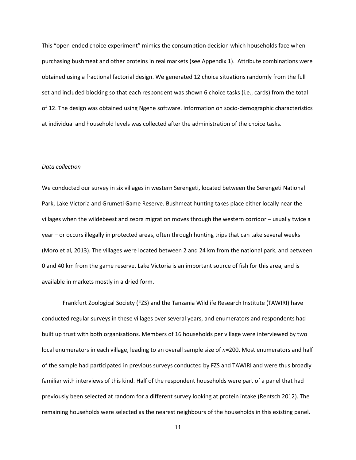This "open-ended choice experiment" mimics the consumption decision which households face when purchasing bushmeat and other proteins in real markets (see Appendix 1). Attribute combinations were obtained using a fractional factorial design. We generated 12 choice situations randomly from the full set and included blocking so that each respondent was shown 6 choice tasks (i.e., cards) from the total of 12. The design was obtained using Ngene software. Information on socio-demographic characteristics at individual and household levels was collected after the administration of the choice tasks.

#### *Data collection*

We conducted our survey in six villages in western Serengeti, located between the Serengeti National Park, Lake Victoria and Grumeti Game Reserve. Bushmeat hunting takes place either locally near the villages when the wildebeest and zebra migration moves through the western corridor – usually twice a year – or occurs illegally in protected areas, often through hunting trips that can take several weeks (Moro et al, 2013). The villages were located between 2 and 24 km from the national park, and between 0 and 40 km from the game reserve. Lake Victoria is an important source of fish for this area, and is available in markets mostly in a dried form.

Frankfurt Zoological Society (FZS) and the Tanzania Wildlife Research Institute (TAWIRI) have conducted regular surveys in these villages over several years, and enumerators and respondents had built up trust with both organisations. Members of 16 households per village were interviewed by two local enumerators in each village, leading to an overall sample size of *n*=200. Most enumerators and half of the sample had participated in previous surveys conducted by FZS and TAWIRI and were thus broadly familiar with interviews of this kind. Half of the respondent households were part of a panel that had previously been selected at random for a different survey looking at protein intake (Rentsch 2012). The remaining households were selected as the nearest neighbours of the households in this existing panel.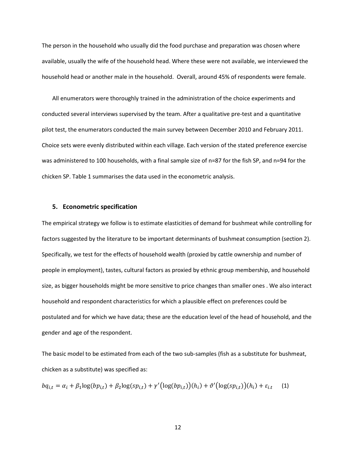The person in the household who usually did the food purchase and preparation was chosen where available, usually the wife of the household head. Where these were not available, we interviewed the household head or another male in the household. Overall, around 45% of respondents were female.

All enumerators were thoroughly trained in the administration of the choice experiments and conducted several interviews supervised by the team. After a qualitative pre-test and a quantitative pilot test, the enumerators conducted the main survey between December 2010 and February 2011. Choice sets were evenly distributed within each village. Each version of the stated preference exercise was administered to 100 households, with a final sample size of n=87 for the fish SP, and n=94 for the chicken SP. Table 1 summarises the data used in the econometric analysis.

#### **5. Econometric specification**

The empirical strategy we follow is to estimate elasticities of demand for bushmeat while controlling for factors suggested by the literature to be important determinants of bushmeat consumption (section 2). Specifically, we test for the effects of household wealth (proxied by cattle ownership and number of people in employment), tastes, cultural factors as proxied by ethnic group membership, and household size, as bigger households might be more sensitive to price changes than smaller ones . We also interact household and respondent characteristics for which a plausible effect on preferences could be postulated and for which we have data; these are the education level of the head of household, and the gender and age of the respondent.

The basic model to be estimated from each of the two sub-samples (fish as a substitute for bushmeat, chicken as a substitute) was specified as:

$$
b q_{i,t} = \alpha_i + \beta_1 \log(b p_{i,t}) + \beta_2 \log(s p_{i,t}) + \gamma' (\log(b p_{i,t})) (h_i) + \vartheta' (\log(s p_{i,t})) (h_i) + \varepsilon_{i,t} \tag{1}
$$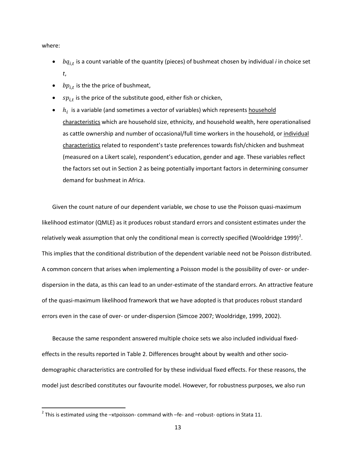where:

- $\bullet$   $bq_{i,t}$  is a count variable of the quantity (pieces) of bushmeat chosen by individual *i* in choice set *t*,
- $bp_{i,t}$  is the the price of bushmeat,
- $sp_{i,t}$  is the price of the substitute good, either fish or chicken,
- $h_i$  is a variable (and sometimes a vector of variables) which represents household characteristics which are household size, ethnicity, and household wealth, here operationalised as cattle ownership and number of occasional/full time workers in the household, or individual characteristics related to respondent's taste preferences towards fish/chicken and bushmeat (measured on a Likert scale), respondent's education, gender and age. These variables reflect the factors set out in Section 2 as being potentially important factors in determining consumer demand for bushmeat in Africa.

Given the count nature of our dependent variable, we chose to use the Poisson quasi-maximum likelihood estimator (QMLE) as it produces robust standard errors and consistent estimates under the relatively weak assumption that only the conditional mean is correctly specified (Wooldridge 1999)<sup>[2](#page-10-0)</sup>. This implies that the conditional distribution of the dependent variable need not be Poisson distributed. A common concern that arises when implementing a Poisson model is the possibility of over- or underdispersion in the data, as this can lead to an under-estimate of the standard errors. An attractive feature of the quasi-maximum likelihood framework that we have adopted is that produces robust standard errors even in the case of over- or under-dispersion (Simcoe 2007; Wooldridge, 1999, 2002).

Because the same respondent answered multiple choice sets we also included individual fixedeffects in the results reported in Table 2. Differences brought about by wealth and other sociodemographic characteristics are controlled for by these individual fixed effects. For these reasons, the model just described constitutes our favourite model. However, for robustness purposes, we also run

<span id="page-13-0"></span> $2$  This is estimated using the  $-x$ tpoisson-command with –fe- and –robust-options in Stata 11.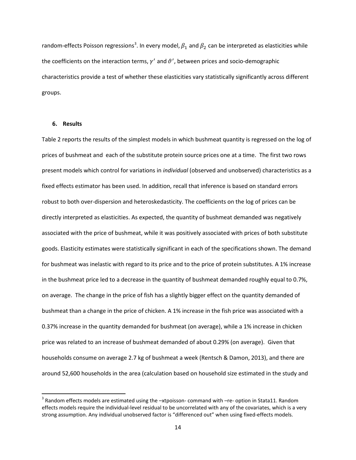random-effects Poisson regressions<sup>[3](#page-13-0)</sup>. In every model,  $\beta_1$  and  $\beta_2$  can be interpreted as elasticities while the coefficients on the interaction terms,  $\gamma'$  and  $\vartheta'$ , between prices and socio-demographic characteristics provide a test of whether these elasticities vary statistically significantly across different groups.

#### **6. Results**

Table 2 reports the results of the simplest models in which bushmeat quantity is regressed on the log of prices of bushmeat and each of the substitute protein source prices one at a time. The first two rows present models which control for variations in *individual* (observed and unobserved) characteristics as a fixed effects estimator has been used. In addition, recall that inference is based on standard errors robust to both over-dispersion and heteroskedasticity. The coefficients on the log of prices can be directly interpreted as elasticities. As expected, the quantity of bushmeat demanded was negatively associated with the price of bushmeat, while it was positively associated with prices of both substitute goods. Elasticity estimates were statistically significant in each of the specifications shown. The demand for bushmeat was inelastic with regard to its price and to the price of protein substitutes. A 1% increase in the bushmeat price led to a decrease in the quantity of bushmeat demanded roughly equal to 0.7%, on average. The change in the price of fish has a slightly bigger effect on the quantity demanded of bushmeat than a change in the price of chicken. A 1% increase in the fish price was associated with a 0.37% increase in the quantity demanded for bushmeat (on average), while a 1% increase in chicken price was related to an increase of bushmeat demanded of about 0.29% (on average). Given that households consume on average 2.7 kg of bushmeat a week (Rentsch & Damon, 2013), and there are around 52,600 households in the area (calculation based on household size estimated in the study and

 $3$  Random effects models are estimated using the  $-$ xtpoisson-command with  $-$ re-option in Stata11. Random effects models require the individual-level residual to be uncorrelated with any of the covariates, which is a very strong assumption. Any individual unobserved factor is "differenced out" when using fixed-effects models.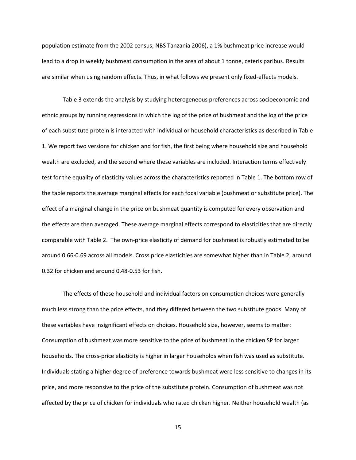population estimate from the 2002 census; NBS Tanzania 2006), a 1% bushmeat price increase would lead to a drop in weekly bushmeat consumption in the area of about 1 tonne, ceteris paribus. Results are similar when using random effects. Thus, in what follows we present only fixed-effects models.

Table 3 extends the analysis by studying heterogeneous preferences across socioeconomic and ethnic groups by running regressions in which the log of the price of bushmeat and the log of the price of each substitute protein is interacted with individual or household characteristics as described in Table 1. We report two versions for chicken and for fish, the first being where household size and household wealth are excluded, and the second where these variables are included. Interaction terms effectively test for the equality of elasticity values across the characteristics reported in Table 1. The bottom row of the table reports the average marginal effects for each focal variable (bushmeat or substitute price). The effect of a marginal change in the price on bushmeat quantity is computed for every observation and the effects are then averaged. These average marginal effects correspond to elasticities that are directly comparable with Table 2. The own-price elasticity of demand for bushmeat is robustly estimated to be around 0.66-0.69 across all models. Cross price elasticities are somewhat higher than in Table 2, around 0.32 for chicken and around 0.48-0.53 for fish.

The effects of these household and individual factors on consumption choices were generally much less strong than the price effects, and they differed between the two substitute goods. Many of these variables have insignificant effects on choices. Household size, however, seems to matter: Consumption of bushmeat was more sensitive to the price of bushmeat in the chicken SP for larger households. The cross-price elasticity is higher in larger households when fish was used as substitute. Individuals stating a higher degree of preference towards bushmeat were less sensitive to changes in its price, and more responsive to the price of the substitute protein. Consumption of bushmeat was not affected by the price of chicken for individuals who rated chicken higher. Neither household wealth (as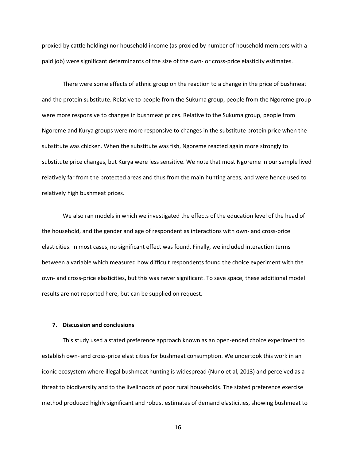proxied by cattle holding) nor household income (as proxied by number of household members with a paid job) were significant determinants of the size of the own- or cross-price elasticity estimates.

There were some effects of ethnic group on the reaction to a change in the price of bushmeat and the protein substitute. Relative to people from the Sukuma group, people from the Ngoreme group were more responsive to changes in bushmeat prices. Relative to the Sukuma group, people from Ngoreme and Kurya groups were more responsive to changes in the substitute protein price when the substitute was chicken. When the substitute was fish, Ngoreme reacted again more strongly to substitute price changes, but Kurya were less sensitive. We note that most Ngoreme in our sample lived relatively far from the protected areas and thus from the main hunting areas, and were hence used to relatively high bushmeat prices.

We also ran models in which we investigated the effects of the education level of the head of the household, and the gender and age of respondent as interactions with own- and cross-price elasticities. In most cases, no significant effect was found. Finally, we included interaction terms between a variable which measured how difficult respondents found the choice experiment with the own- and cross-price elasticities, but this was never significant. To save space, these additional model results are not reported here, but can be supplied on request.

#### **7. Discussion and conclusions**

This study used a stated preference approach known as an open-ended choice experiment to establish own- and cross-price elasticities for bushmeat consumption. We undertook this work in an iconic ecosystem where illegal bushmeat hunting is widespread (Nuno et al, 2013) and perceived as a threat to biodiversity and to the livelihoods of poor rural households. The stated preference exercise method produced highly significant and robust estimates of demand elasticities, showing bushmeat to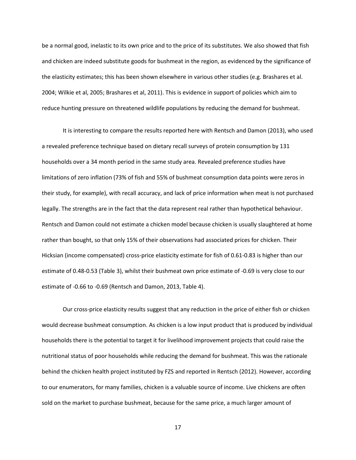be a normal good, inelastic to its own price and to the price of its substitutes. We also showed that fish and chicken are indeed substitute goods for bushmeat in the region, as evidenced by the significance of the elasticity estimates; this has been shown elsewhere in various other studies (e.g. Brashares et al. 2004; Wilkie et al, 2005; Brashares et al, 2011). This is evidence in support of policies which aim to reduce hunting pressure on threatened wildlife populations by reducing the demand for bushmeat.

It is interesting to compare the results reported here with Rentsch and Damon (2013), who used a revealed preference technique based on dietary recall surveys of protein consumption by 131 households over a 34 month period in the same study area. Revealed preference studies have limitations of zero inflation (73% of fish and 55% of bushmeat consumption data points were zeros in their study, for example), with recall accuracy, and lack of price information when meat is not purchased legally. The strengths are in the fact that the data represent real rather than hypothetical behaviour. Rentsch and Damon could not estimate a chicken model because chicken is usually slaughtered at home rather than bought, so that only 15% of their observations had associated prices for chicken. Their Hicksian (income compensated) cross-price elasticity estimate for fish of 0.61-0.83 is higher than our estimate of 0.48-0.53 (Table 3), whilst their bushmeat own price estimate of -0.69 is very close to our estimate of -0.66 to -0.69 (Rentsch and Damon, 2013, Table 4).

Our cross-price elasticity results suggest that any reduction in the price of either fish or chicken would decrease bushmeat consumption. As chicken is a low input product that is produced by individual households there is the potential to target it for livelihood improvement projects that could raise the nutritional status of poor households while reducing the demand for bushmeat. This was the rationale behind the chicken health project instituted by FZS and reported in Rentsch (2012). However, according to our enumerators, for many families, chicken is a valuable source of income. Live chickens are often sold on the market to purchase bushmeat, because for the same price, a much larger amount of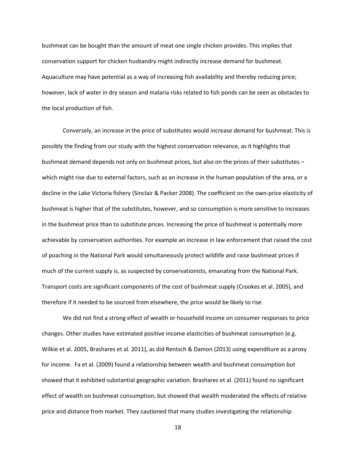bushmeat can be bought than the amount of meat one single chicken provides. This implies that conservation support for chicken husbandry might indirectly increase demand for bushmeat. Aquaculture may have potential as a way of increasing fish availability and thereby reducing price; however, lack of water in dry season and malaria risks related to fish ponds can be seen as obstacles to the local production of fish.

Conversely, an increase in the price of substitutes would increase demand for bushmeat. This is possibly the finding from our study with the highest conservation relevance, as it highlights that bushmeat demand depends not only on bushmeat prices, but also on the prices of their substitutes – which might rise due to external factors, such as an increase in the human population of the area, or a decline in the Lake Victoria fishery (Sinclair & Packer 2008). The coefficient on the own-price elasticity of bushmeat is higher that of the substitutes, however, and so consumption is more sensitive to increases in the bushmeat price than to substitute prices. Increasing the price of bushmeat is potentially more achievable by conservation authorities. For example an increase in law enforcement that raised the cost of poaching in the National Park would simultaneously protect wildlife and raise bushmeat prices if much of the current supply is, as suspected by conservationists, emanating from the National Park. Transport costs are significant components of the cost of bushmeat supply (Crookes et al. 2005), and therefore if it needed to be sourced from elsewhere, the price would be likely to rise.

We did not find a strong effect of wealth or household income on consumer responses to price changes. Other studies have estimated positive income elasticities of bushmeat consumption (e.g. Wilkie et al. 2005, Brashares et al. 2011), as did Rentsch & Damon (2013) using expenditure as a proxy for income. Fa et al. (2009) found a relationship between wealth and bushmeat consumption but showed that it exhibited substantial geographic variation. Brashares et al. (2011) found no significant effect of wealth on bushmeat consumption, but showed that wealth moderated the effects of relative price and distance from market. They cautioned that many studies investigating the relationship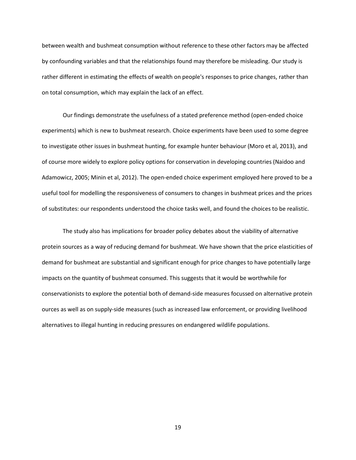between wealth and bushmeat consumption without reference to these other factors may be affected by confounding variables and that the relationships found may therefore be misleading. Our study is rather different in estimating the effects of wealth on people's responses to price changes, rather than on total consumption, which may explain the lack of an effect.

Our findings demonstrate the usefulness of a stated preference method (open-ended choice experiments) which is new to bushmeat research. Choice experiments have been used to some degree to investigate other issues in bushmeat hunting, for example hunter behaviour (Moro et al, 2013), and of course more widely to explore policy options for conservation in developing countries (Naidoo and Adamowicz, 2005; Minin et al, 2012). The open-ended choice experiment employed here proved to be a useful tool for modelling the responsiveness of consumers to changes in bushmeat prices and the prices of substitutes: our respondents understood the choice tasks well, and found the choices to be realistic.

The study also has implications for broader policy debates about the viability of alternative protein sources as a way of reducing demand for bushmeat. We have shown that the price elasticities of demand for bushmeat are substantial and significant enough for price changes to have potentially large impacts on the quantity of bushmeat consumed. This suggests that it would be worthwhile for conservationists to explore the potential both of demand-side measures focussed on alternative protein ources as well as on supply-side measures (such as increased law enforcement, or providing livelihood alternatives to illegal hunting in reducing pressures on endangered wildlife populations.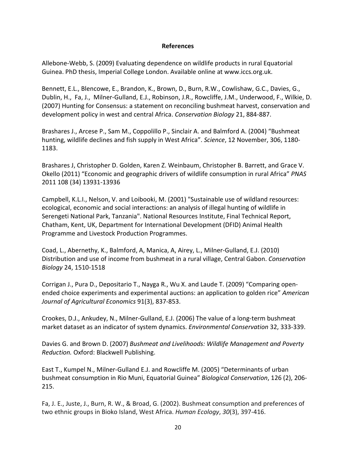## **References**

Allebone-Webb, S. (2009) Evaluating dependence on wildlife products in rural Equatorial Guinea. PhD thesis, Imperial College London. Available online at www.iccs.org.uk.

Bennett, E.L., Blencowe, E., Brandon, K., Brown, D., Burn, R.W., Cowlishaw, G.C., Davies, G., Dublin, H., Fa, J., Milner-Gulland, E.J., Robinson, J.R., Rowcliffe, J.M., Underwood, F., Wilkie, D. (2007) Hunting for Consensus: a statement on reconciling bushmeat harvest, conservation and development policy in west and central Africa. *Conservation Biology* 21, 884-887.

Brashares J., Arcese P., Sam M., Coppolillo P., Sinclair A. and Balmford A. (2004) "Bushmeat hunting, wildlife declines and fish supply in West Africa". *Science*, 12 November, 306, 1180- 1183.

Brashares J, Christopher D. Golden, Karen Z. Weinbaum, Christopher B. Barrett, and Grace V. Okello (2011) "Economic and geographic drivers of wildlife consumption in rural Africa" *PNAS* 2011 108 (34) 13931-13936

Campbell, K.L.I., Nelson, V. and Loibooki, M. (2001) "Sustainable use of wildland resources: ecological, economic and social interactions: an analysis of illegal hunting of wildlife in Serengeti National Park, Tanzania". National Resources Institute, Final Technical Report, Chatham, Kent, UK, Department for International Development (DFID) Animal Health Programme and Livestock Production Programmes.

Coad, L., Abernethy, K., Balmford, A, Manica, A, Airey, L., Milner-Gulland, E.J. (2010) Distribution and use of income from bushmeat in a rural village, Central Gabon. *Conservation Biology* 24, 1510-1518

Corrigan J., Pura D., Depositario T., Nayga R., Wu X. and Laude T. (2009) "Comparing openended choice experiments and experimental auctions: an application to golden rice" *American Journal of Agricultural Economics* 91(3), 837-853.

Crookes, D.J., Ankudey, N., Milner-Gulland, E.J. (2006) The value of a long-term bushmeat market dataset as an indicator of system dynamics. *Environmental Conservation* 32, 333-339.

Davies G. and Brown D. (2007) *Bushmeat and Livelihoods: Wildlife Management and Poverty Reduction.* Oxford: Blackwell Publishing.

East T., Kumpel N., Milner-Gulland E.J. and Rowcliffe M. (2005) "Determinants of urban bushmeat consumption in Rio Muni, Equatorial Guinea" *Biological Conservation*, 126 (2), 206- 215.

Fa, J. E., Juste, J., Burn, R. W., & Broad, G. (2002). Bushmeat consumption and preferences of two ethnic groups in Bioko Island, West Africa. *Human Ecology*, *30*(3), 397-416.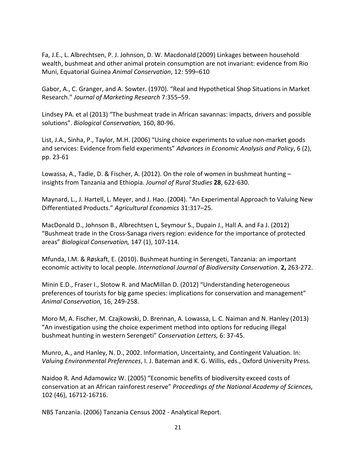Fa, J.E., L. Albrechtsen, P. J. Johnson, D. W. Macdonald (2009) Linkages between household wealth, bushmeat and other animal protein consumption are not invariant: evidence from Rio Muni, Equatorial Guinea *Animal Conservation*, 12: 599–610

Gabor, A., C. Granger, and A. Sowter. (1970). "Real and Hypothetical Shop Situations in Market Research." *Journal of Marketing Research* 7:355–59.

Lindsey PA. et al (2013) "The bushmeat trade in African savannas: impacts, drivers and possible solutions". *Biological Conservation,* 160, 80-96.

List, J.A., Sinha, P., Taylor, M.H. (2006) "Using choice experiments to value non-market goods and services: Evidence from field experiments" *Advances in Economic Analysis and Policy*, 6 (2), pp. 23-61

Lowassa, A., Tadie, D. & Fischer, A. (2012). On the role of women in bushmeat hunting – insights from Tanzania and Ethiopia. *Journal of Rural Studies* **28**, 622-630.

Maynard, L., J. Hartell, L. Meyer, and J. Hao. (2004). "An Experimental Approach to Valuing New Differentiated Products." *Agricultural Economics* 31:317–25.

MacDonald D., Johnson B., Albrechtsen L, Seymour S., Dupain J., Hall A. and Fa J. (2012) "Bushmeat trade in the Cross-Sanaga rivers region: evidence for the importance of protected areas" *Biological Conservation,* 147 (1), 107-114.

Mfunda, I.M. & Røskaft, E. (2010). Bushmeat hunting in Serengeti, Tanzania: an important economic activity to local people. *International Journal of Biodiversity Conservation*. **2,** 263-272.

Minin E.D., Fraser I., Slotow R. and MacMillan D. (2012) "Understanding heterogeneous preferences of tourists for big game species: implications for conservation and management" *Animal Conservation,* 16, 249-258.

Moro M, A. Fischer, M. Czajkowski, D. Brennan, A. Lowassa, L. C. Naiman and N. Hanley (2013) "An investigation using the choice experiment method into options for reducing illegal bushmeat hunting in western Serengeti" *Conservation Letters,* 6: 37-45.

Munro, A., and Hanley, N. D., 2002. Information, Uncertainty, and Contingent Valuation. In: *Valuing Environmental Preferences*, I. J. Bateman and K. G. Willis, eds., Oxford University Press.

Naidoo R. And Adamowicz W. (2005) "Economic benefits of biodiversity exceed costs of conservation at an African rainforest reserve" *Proceedings of the National Academy of Sciences,*  102 (46), 16712-16716.

NBS Tanzania. (2006) Tanzania Census 2002 - Analytical Report.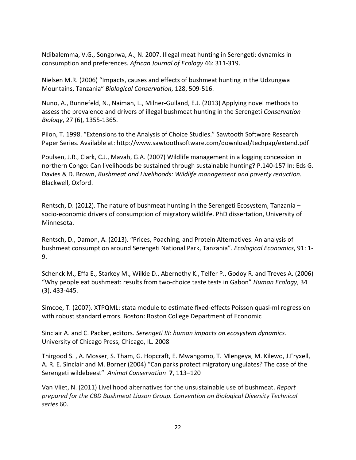Ndibalemma, V.G., Songorwa, A., N. 2007. Illegal meat hunting in Serengeti: dynamics in consumption and preferences. *African Journal of Ecology* 46: 311-319.

Nielsen M.R. (2006) "Impacts, causes and effects of bushmeat hunting in the Udzungwa Mountains, Tanzania" *Biological Conservation*, 128, 509-516.

Nuno, A., Bunnefeld, N., Naiman, L., Milner-Gulland, E.J. (2013) Applying novel methods to assess the prevalence and drivers of illegal bushmeat hunting in the Serengeti *Conservation Biology*, 27 (6), 1355-1365.

Pilon, T. 1998. "Extensions to the Analysis of Choice Studies." Sawtooth Software Research Paper Series. Available at: http://www.sawtoothsoftware.com/download/techpap/extend.pdf

Poulsen, J.R., Clark, C.J., Mavah, G.A. (2007) Wildlife management in a logging concession in northern Congo: Can livelihoods be sustained through sustainable hunting? P.140-157 In: Eds G. Davies & D. Brown, *Bushmeat and Livelihoods: Wildlife management and poverty reduction.*  Blackwell, Oxford.

Rentsch, D. (2012). The nature of bushmeat hunting in the Serengeti Ecosystem, Tanzania – socio-economic drivers of consumption of migratory wildlife. PhD dissertation, University of Minnesota.

Rentsch, D., Damon, A. (2013). "Prices, Poaching, and Protein Alternatives: An analysis of bushmeat consumption around Serengeti National Park, Tanzania". *Ecological Economics*, 91: 1- 9.

Schenck M., Effa E., Starkey M., Wilkie D., Abernethy K., Telfer P., Godoy R. and Treves A. (2006) "Why people eat bushmeat: results from two-choice taste tests in Gabon" *Human Ecology*, 34 (3), 433-445.

Simcoe, T. (2007). XTPQML: stata module to estimate fixed-effects Poisson quasi-ml regression with robust standard errors. Boston: Boston College Department of Economic

Sinclair A. and C. Packer, editors. *Serengeti III: human impacts on ecosystem dynamics.*  University of Chicago Press, Chicago, IL. 2008

Thirgood S. , A. Mosser, S. Tham, G. Hopcraft, E. Mwangomo, T. Mlengeya, M. Kilewo, J.Fryxell, A. R. E. Sinclair and M. Borner (2004) "Can parks protect migratory ungulates? The case of the Serengeti wildebeest" *Animal Conservation* **7**, 113–120

Van Vliet, N. (2011) Livelihood alternatives for the unsustainable use of bushmeat. *Report prepared for the CBD Bushmeat Liason Group. Convention on Biological Diversity Technical series* 60.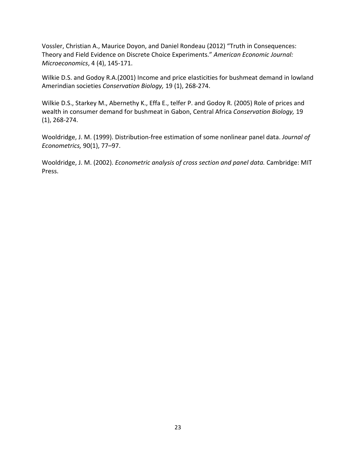Vossler, Christian A., Maurice Doyon, and Daniel Rondeau (2012) "Truth in Consequences: Theory and Field Evidence on Discrete Choice Experiments." *American Economic Journal: Microeconomics*, 4 (4), 145-171.

Wilkie D.S. and Godoy R.A.(2001) Income and price elasticities for bushmeat demand in lowland Amerindian societies *Conservation Biology,* 19 (1), 268-274.

Wilkie D.S., Starkey M., Abernethy K., Effa E., telfer P. and Godoy R. (2005) Role of prices and wealth in consumer demand for bushmeat in Gabon, Central Africa *Conservation Biology,* 19 (1), 268-274.

Wooldridge, J. M. (1999). Distribution-free estimation of some nonlinear panel data. *Journal of Econometrics,* 90(1), 77–97.

Wooldridge, J. M. (2002). *Econometric analysis of cross section and panel data.* Cambridge: MIT Press.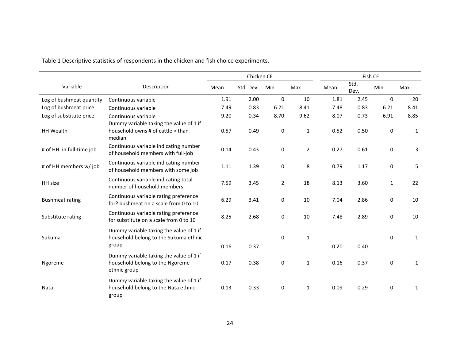Table 1 Descriptive statistics of respondents in the chicken and fish choice experiments.

|                          |                                                                                            |      | Chicken CE |                |                |      |              | Fish CE      |              |  |  |  |
|--------------------------|--------------------------------------------------------------------------------------------|------|------------|----------------|----------------|------|--------------|--------------|--------------|--|--|--|
| Variable                 | Description                                                                                | Mean | Std. Dev.  | Min            | Max            | Mean | Std.<br>Dev. | Min          | Max          |  |  |  |
| Log of bushmeat quantity | Continuous variable                                                                        | 1.91 | 2.00       | $\mathbf 0$    | 10             | 1.81 | 2.45         | $\mathbf 0$  | 20           |  |  |  |
| Log of bushmeat price    | Continuous variable                                                                        | 7.49 | 0.83       | 6.21           | 8.41           | 7.48 | 0.83         | 6.21         | 8.41         |  |  |  |
| Log of substitute price  | Continuous variable                                                                        | 9.20 | 0.34       | 8.70           | 9.62           | 8.07 | 0.73         | 6.91         | 8.85         |  |  |  |
| <b>HH Wealth</b>         | Dummy variable taking the value of 1 if<br>household owns # of cattle > than<br>median     | 0.57 | 0.49       | 0              | $\mathbf{1}$   | 0.52 | 0.50         | 0            | $\mathbf{1}$ |  |  |  |
| # of HH in full-time job | Continuous variable indicating number<br>of household members with full-job                | 0.14 | 0.43       | $\mathbf 0$    | $\overline{2}$ | 0.27 | 0.61         | 0            | 3            |  |  |  |
| # of HH members w/ job   | Continuous variable indicating number<br>of household members with some job                | 1.11 | 1.39       | 0              | 8              | 0.79 | 1.17         | 0            | 5            |  |  |  |
| HH size                  | Continuous variable indicating total<br>number of household members                        | 7.59 | 3.45       | $\overline{2}$ | 18             | 8.13 | 3.60         | $\mathbf{1}$ | 22           |  |  |  |
| <b>Bushmeat rating</b>   | Continuous variable rating preference<br>for? bushmeat on a scale from 0 to 10             | 6.29 | 3.41       | $\mathbf 0$    | 10             | 7.04 | 2.86         | 0            | 10           |  |  |  |
| Substitute rating        | Continuous variable rating preference<br>for substitute on a scale from 0 to 10            | 8.25 | 2.68       | $\mathbf 0$    | 10             | 7.48 | 2.89         | 0            | 10           |  |  |  |
| Sukuma                   | Dummy variable taking the value of 1 if<br>household belong to the Sukuma ethnic<br>group  | 0.16 | 0.37       | 0              | $\mathbf{1}$   | 0.20 | 0.40         | $\Omega$     | $\mathbf{1}$ |  |  |  |
| Ngoreme                  | Dummy variable taking the value of 1 if<br>household belong to the Ngoreme<br>ethnic group | 0.17 | 0.38       | 0              | $\mathbf{1}$   | 0.16 | 0.37         | 0            | $\mathbf{1}$ |  |  |  |
| Nata                     | Dummy variable taking the value of 1 if<br>household belong to the Nata ethnic<br>group    | 0.13 | 0.33       | $\mathbf 0$    | $\mathbf{1}$   | 0.09 | 0.29         | 0            | $\mathbf{1}$ |  |  |  |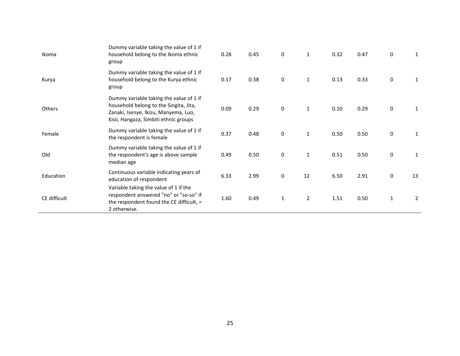| Ikoma         | Dummy variable taking the value of 1 if<br>household belong to the Ikoma ethnic<br>group                                                                           | 0.28 | 0.45 | 0                | $\mathbf{1}$   | 0.32 | 0.47 | 0            | 1              |
|---------------|--------------------------------------------------------------------------------------------------------------------------------------------------------------------|------|------|------------------|----------------|------|------|--------------|----------------|
| Kurya         | Dummy variable taking the value of 1 if<br>household belong to the Kurya ethnic<br>group                                                                           | 0.17 | 0.38 | $\boldsymbol{0}$ | $\mathbf{1}$   | 0.13 | 0.33 | 0            | 1              |
| <b>Others</b> | Dummy variable taking the value of 1 if<br>household belong to the Singita, Jita,<br>Zanaki, Isenye, Ikizu, Manyema, Luo,<br>Kisii, Hangaza, Simbiti ethnic groups | 0.09 | 0.29 | $\pmb{0}$        | $\mathbf{1}$   | 0.10 | 0.29 | $\pmb{0}$    | 1              |
| Female        | Dummy variable taking the value of 1 if<br>the respondent is female                                                                                                | 0.37 | 0.48 | $\pmb{0}$        | $\mathbf{1}$   | 0.50 | 0.50 | 0            | 1              |
| Old           | Dummy variable taking the value of 1 if<br>the respondent's age is above sample<br>median age                                                                      | 0.49 | 0.50 | $\pmb{0}$        | $\mathbf{1}$   | 0.51 | 0.50 | $\pmb{0}$    | 1              |
| Education     | Continuous variable indicating years of<br>education of respondent                                                                                                 | 6.33 | 2.99 | $\pmb{0}$        | 12             | 6.50 | 2.91 | $\pmb{0}$    | 13             |
| CE difficult  | Variable taking the value of 1 if the<br>respondent answered "no" or "so-so" if<br>the respondent found the CE difficult, =<br>2 otherwise.                        | 1.60 | 0.49 | $\mathbf{1}$     | $\overline{2}$ | 1.51 | 0.50 | $\mathbf{1}$ | $\overline{2}$ |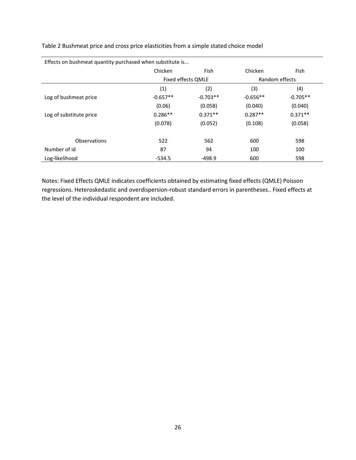Table 2 Bushmeat price and cross price elasticities from a simple stated choice model

| Effects on bushmeat quantity purchased when substitute is |            |                    |                |            |  |  |  |
|-----------------------------------------------------------|------------|--------------------|----------------|------------|--|--|--|
|                                                           | Chicken    | <b>Fish</b>        | Chicken        | Fish       |  |  |  |
|                                                           |            | Fixed effects QMLE | Random effects |            |  |  |  |
|                                                           | (1)        | (2)                | (3)            | (4)        |  |  |  |
| Log of bushmeat price                                     | $-0.657**$ | $-0.703**$         | $-0.656**$     | $-0.705**$ |  |  |  |
|                                                           | (0.06)     | (0.058)            | (0.040)        | (0.040)    |  |  |  |
| Log of substitute price                                   | $0.286**$  | $0.371**$          | $0.287**$      | $0.371**$  |  |  |  |
|                                                           | (0.078)    | (0.052)            | (0.108)        | (0.058)    |  |  |  |
|                                                           |            |                    |                |            |  |  |  |
| <b>Observations</b>                                       | 522        | 562                | 600            | 598        |  |  |  |
| Number of id                                              | 87         | 94                 | 100            | 100        |  |  |  |
| Log-likelihood                                            | $-534.5$   | $-498.9$           | 600            | 598        |  |  |  |

Effects on bushmeat quantity purchased when substitute is...

Notes: Fixed Effects QMLE indicates coefficients obtained by estimating fixed effects (QMLE) Poisson regressions. Heteroskedastic and overdispersion-robust standard errors in parentheses.. Fixed effects at the level of the individual respondent are included.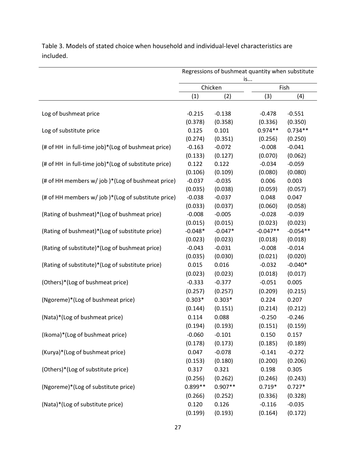Regressions of bushmeat quantity when substitute is... Chicken Fish  $(1)$   $(2)$   $(3)$   $(4)$ Log of bushmeat price  $-0.215 -0.138$   $-0.478$   $-0.551$ (0.378) (0.358) (0.336) (0.350) Log of substitute price  $0.125$  0.101  $0.974**$  0.734<sup>\*\*</sup> (0.274) (0.351) (0.256) (0.250) (# of HH in full-time job)\*(Log of bushmeat price) -0.163 -0.072 -0.008 -0.041 (0.133) (0.127) (0.070) (0.062) (# of HH in full-time job)\*(Log of substitute price)  $0.122$  0.122  $-0.034$  -0.059 (0.106) (0.109) (0.080) (0.080) (# of HH members w/ job )\*(Log of bushmeat price)  $-0.037 -0.035$  0.006 0.003 (0.035) (0.038) (0.059) (0.057) (# of HH members w/ job )\*(Log of substitute price)  $-0.038$   $-0.037$  0.048 0.047 (0.033) (0.037) (0.060) (0.058) (Rating of bushmeat)\*(Log of bushmeat price) -0.008 -0.005 -0.028 -0.039 (0.015) (0.015) (0.023) (0.023) (Rating of bushmeat)\*(Log of substitute price)  $-0.048* -0.047* -0.047* -0.054**$ (0.023) (0.023) (0.018) (0.018) (Rating of substitute)\*(Log of bushmeat price) -0.043 -0.031 -0.008 -0.014 (0.035) (0.030) (0.021) (0.020) (Rating of substitute)\*(Log of substitute price) 0.015 0.016 -0.032 -0.040\* (0.023) (0.023) (0.018) (0.017) (Others)\*(Log of bushmeat price) -0.333 -0.377 -0.051 0.005 (0.257) (0.257) (0.209) (0.215) (Ngoreme)\*(Log of bushmeat price) 0.303\* 0.303\* 0.224 0.207 (0.144) (0.151) (0.214) (0.212) (Nata)\*(Log of bushmeat price) 0.114 0.088 -0.250 -0.246 (0.194) (0.193) (0.151) (0.159) (Ikoma)\*(Log of bushmeat price) -0.060 -0.101 0.150 0.157 (0.178) (0.173) (0.185) (0.189)  $(Kurya)*(Log of bushmeat price)$  0.047 -0.078 -0.141 -0.272 (0.153) (0.180) (0.200) (0.206) (Others)\*(Log of substitute price) 0.317 0.321 0.198 0.305 (0.256) (0.262) (0.246) (0.243) (Ngoreme)\*(Log of substitute price)  $0.899**$   $0.907**$  0.719\*  $0.727*$ (0.266) (0.252) (0.336) (0.328) (Nata)\*(Log of substitute price) 0.120 0.126 -0.116 -0.035 (0.199) (0.193) (0.164) (0.172)

Table 3. Models of stated choice when household and individual-level characteristics are included.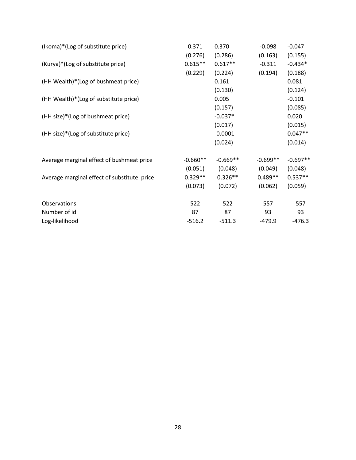| (Ikoma)*(Log of substitute price)           | 0.371      | 0.370      | $-0.098$   | $-0.047$   |
|---------------------------------------------|------------|------------|------------|------------|
|                                             | (0.276)    | (0.286)    | (0.163)    | (0.155)    |
| (Kurya)*(Log of substitute price)           | $0.615**$  | $0.617**$  | $-0.311$   | $-0.434*$  |
|                                             | (0.229)    | (0.224)    | (0.194)    | (0.188)    |
| (HH Wealth)*(Log of bushmeat price)         |            | 0.161      |            | 0.081      |
|                                             |            | (0.130)    |            | (0.124)    |
| (HH Wealth)*(Log of substitute price)       |            | 0.005      |            | $-0.101$   |
|                                             |            | (0.157)    |            | (0.085)    |
| (HH size)*(Log of bushmeat price)           |            | $-0.037*$  |            | 0.020      |
|                                             |            | (0.017)    |            | (0.015)    |
| (HH size)*(Log of substitute price)         |            | $-0.0001$  |            | $0.047**$  |
|                                             |            | (0.024)    |            | (0.014)    |
| Average marginal effect of bushmeat price   | $-0.660**$ | $-0.669**$ | $-0.699**$ | $-0.697**$ |
|                                             | (0.051)    | (0.048)    | (0.049)    | (0.048)    |
| Average marginal effect of substitute price | $0.329**$  | $0.326**$  | $0.489**$  | $0.537**$  |
|                                             | (0.073)    | (0.072)    | (0.062)    | (0.059)    |
| Observations                                | 522        | 522        | 557        | 557        |
| Number of id                                | 87         | 87         | 93         | 93         |
| Log-likelihood                              | $-516.2$   | $-511.3$   | -479.9     | $-476.3$   |